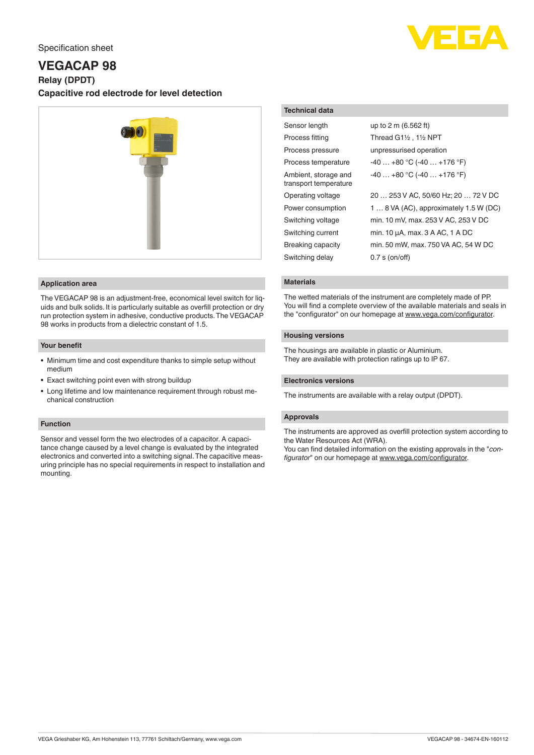

# Specification sheet

# **VEGACAP 98**

**Relay (DPDT)**

**Capacitive rod electrode for level detection**



### **Application area**

The VEGACAP 98 is an adjustment-free, economical level switch for liquids and bulk solids. It is particularly suitable as overfill protection or dry run protection system in adhesive, conductive products. The VEGACAP 98 works in products from a dielectric constant of 1.5.

### **Your benefit**

- Minimum time and cost expenditure thanks to simple setup without medium
- Exact switching point even with strong buildup
- Long lifetime and low maintenance requirement through robust mechanical construction

## **Function**

Sensor and vessel form the two electrodes of a capacitor. A capacitance change caused by a level change is evaluated by the integrated electronics and converted into a switching signal. The capacitive measuring principle has no special requirements in respect to installation and mounting.

# **Technical data**

| Sensor length                                 | up to 2 m (6.562 ft)                   |
|-----------------------------------------------|----------------------------------------|
| Process fitting                               | Thread G11/2, 11/2 NPT                 |
| Process pressure                              | unpressurised operation                |
| Process temperature                           | $-40+80$ °C ( $-40+176$ °F)            |
| Ambient, storage and<br>transport temperature | $-40+80$ °C (-40  +176 °F)             |
| Operating voltage                             | 20  253 V AC, 50/60 Hz; 20  72 V DC    |
| Power consumption                             | 1  8 VA (AC), approximately 1.5 W (DC) |
| Switching voltage                             | min. 10 mV, max. 253 V AC, 253 V DC    |
| Switching current                             | min. 10 µA, max. 3 A AC, 1 A DC        |
| Breaking capacity                             | min. 50 mW, max. 750 VA AC, 54 W DC    |
| Switching delay                               | $0.7$ s (on/off)                       |

# **Materials**

The wetted materials of the instrument are completely made of PP. You will find a complete overview of the available materials and seals in the "configurator" on our homepage at [www.vega.com/configurator](http://www.vega.com/configurator).

# **Housing versions**

The housings are available in plastic or Aluminium. They are available with protection ratings up to IP 67.

# **Electronics versions**

The instruments are available with a relay output (DPDT).

# **Approvals**

The instruments are approved as overfill protection system according to the Water Resources Act (WRA).

You can find detailed information on the existing approvals in the "*configurator*" on our homepage at [www.vega.com/configurator](http://www.vega.com/configurator).